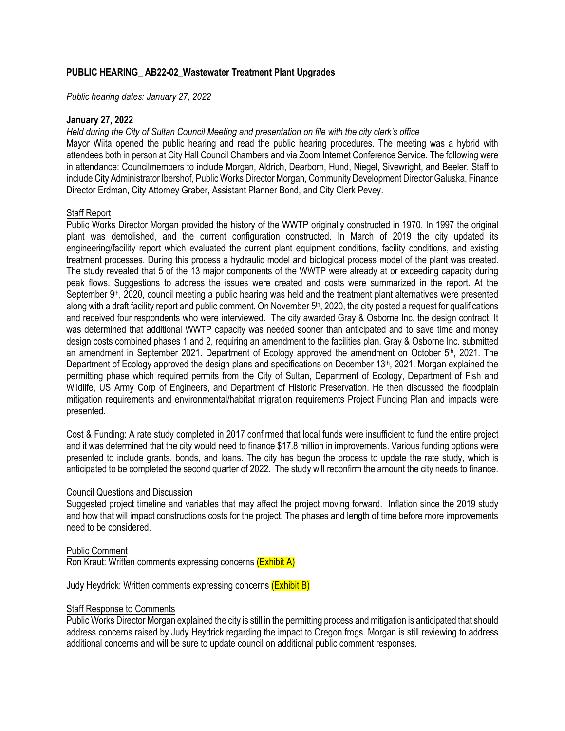# **PUBLIC HEARING\_ AB22-02\_Wastewater Treatment Plant Upgrades**

*Public hearing dates: January 27, 2022*

### **January 27, 2022**

# *Held during the City of Sultan Council Meeting and presentation on file with the city clerk's office*

Mayor Wiita opened the public hearing and read the public hearing procedures. The meeting was a hybrid with attendees both in person at City Hall Council Chambers and via Zoom Internet Conference Service. The following were in attendance: Councilmembers to include Morgan, Aldrich, Dearborn, Hund, Niegel, Sivewright, and Beeler. Staff to include City Administrator Ibershof, Public Works Director Morgan, Community Development Director Galuska, Finance Director Erdman, City Attorney Graber, Assistant Planner Bond, and City Clerk Pevey.

# Staff Report

Public Works Director Morgan provided the history of the WWTP originally constructed in 1970. In 1997 the original plant was demolished, and the current configuration constructed. In March of 2019 the city updated its engineering/facility report which evaluated the current plant equipment conditions, facility conditions, and existing treatment processes. During this process a hydraulic model and biological process model of the plant was created. The study revealed that 5 of the 13 major components of the WWTP were already at or exceeding capacity during peak flows. Suggestions to address the issues were created and costs were summarized in the report. At the September 9<sup>th</sup>, 2020, council meeting a public hearing was held and the treatment plant alternatives were presented along with a draft facility report and public comment. On November 5<sup>th</sup>, 2020, the city posted a request for qualifications and received four respondents who were interviewed. The city awarded Gray & Osborne Inc. the design contract. It was determined that additional WWTP capacity was needed sooner than anticipated and to save time and money design costs combined phases 1 and 2, requiring an amendment to the facilities plan. Gray & Osborne Inc. submitted an amendment in September 2021. Department of Ecology approved the amendment on October 5<sup>th</sup>, 2021. The Department of Ecology approved the design plans and specifications on December 13<sup>th</sup>, 2021. Morgan explained the permitting phase which required permits from the City of Sultan, Department of Ecology, Department of Fish and Wildlife, US Army Corp of Engineers, and Department of Historic Preservation. He then discussed the floodplain mitigation requirements and environmental/habitat migration requirements Project Funding Plan and impacts were presented.

Cost & Funding: A rate study completed in 2017 confirmed that local funds were insufficient to fund the entire project and it was determined that the city would need to finance \$17.8 million in improvements. Various funding options were presented to include grants, bonds, and loans. The city has begun the process to update the rate study, which is anticipated to be completed the second quarter of 2022. The study will reconfirm the amount the city needs to finance.

# Council Questions and Discussion

Suggested project timeline and variables that may affect the project moving forward. Inflation since the 2019 study and how that will impact constructions costs for the project. The phases and length of time before more improvements need to be considered.

### Public Comment

Ron Kraut: Written comments expressing concerns (Exhibit A)

Judy Heydrick: Written comments expressing concerns (Exhibit B)

# **Staff Response to Comments**

Public Works Director Morgan explained the city is still in the permitting process and mitigation is anticipated that should address concerns raised by Judy Heydrick regarding the impact to Oregon frogs. Morgan is still reviewing to address additional concerns and will be sure to update council on additional public comment responses.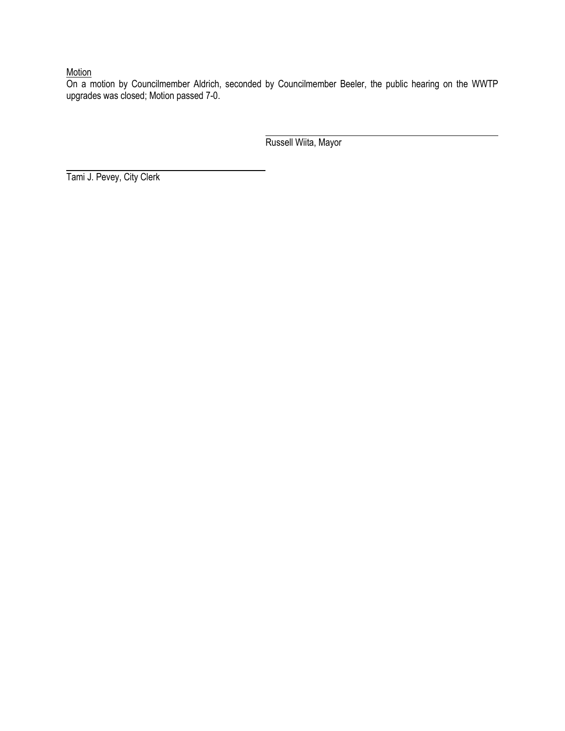# Motion

On a motion by Councilmember Aldrich, seconded by Councilmember Beeler, the public hearing on the WWTP upgrades was closed; Motion passed 7-0.

Russell Wiita, Mayor

Tami J. Pevey, City Clerk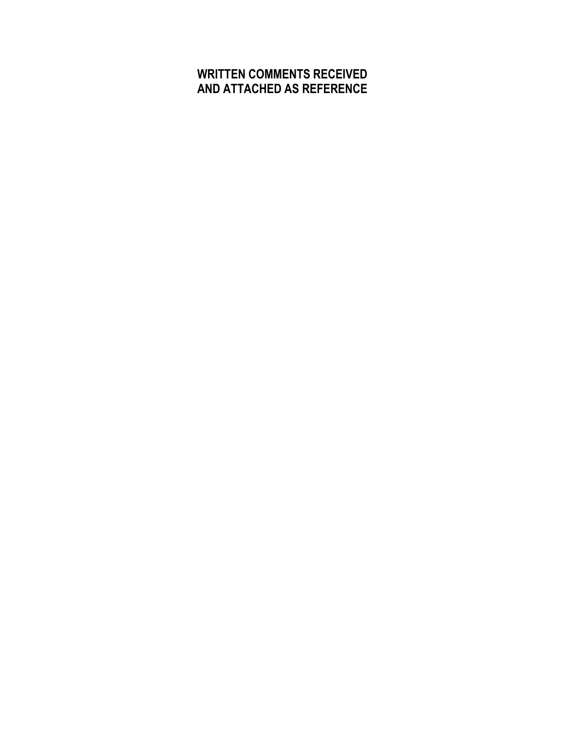# **WRITTEN COMMENTS RECEIVED AND ATTACHED AS REFERENCE**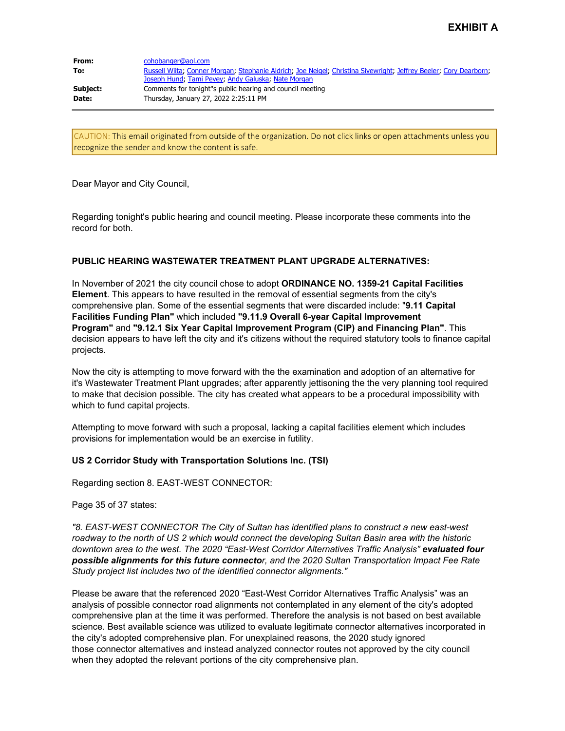| From:<br>To: | cohobanger@aol.com<br>Russell Wiita; Conner Morgan; Stephanie Aldrich; Joe Neigel; Christina Sivewright; Jeffrey Beeler; Cory Dearborn;<br>Joseph Hund, Tami Pevey, Andy Galuska, Nate Morgan |
|--------------|-----------------------------------------------------------------------------------------------------------------------------------------------------------------------------------------------|
| Subject:     | Comments for tonight"s public hearing and council meeting                                                                                                                                     |
| Date:        | Thursday, January 27, 2022 2:25:11 PM                                                                                                                                                         |

CAUTION: This email originated from outside of the organization. Do not click links or open attachments unless you recognize the sender and know the content is safe.

Dear Mayor and City Council,

Regarding tonight's public hearing and council meeting. Please incorporate these comments into the record for both.

### **PUBLIC HEARING WASTEWATER TREATMENT PLANT UPGRADE ALTERNATIVES:**

In November of 2021 the city council chose to adopt **ORDINANCE NO. 1359-21 Capital Facilities Element**. This appears to have resulted in the removal of essential segments from the city's comprehensive plan. Some of the essential segments that were discarded include: "**9.11 Capital Facilities Funding Plan"** which included **"9.11.9 Overall 6-year Capital Improvement Program"** and **"9.12.1 Six Year Capital Improvement Program (CIP) and Financing Plan"**. This decision appears to have left the city and it's citizens without the required statutory tools to finance capital projects.

Now the city is attempting to move forward with the the examination and adoption of an alternative for it's Wastewater Treatment Plant upgrades; after apparently jettisoning the the very planning tool required to make that decision possible. The city has created what appears to be a procedural impossibility with which to fund capital projects.

Attempting to move forward with such a proposal, lacking a capital facilities element which includes provisions for implementation would be an exercise in futility.

### **US 2 Corridor Study with Transportation Solutions Inc. (TSI)**

Regarding section 8. EAST-WEST CONNECTOR:

Page 35 of 37 states:

*"8. EAST-WEST CONNECTOR The City of Sultan has identified plans to construct a new east-west roadway to the north of US 2 which would connect the developing Sultan Basin area with the historic* downtown area to the west. The 2020 "East-West Corridor Alternatives Traffic Analysis" evaluated four *possible alignments for this future connector, and the 2020 Sultan Transportation Impact Fee Rate Study project list includes two of the identified connector alignments."*

Please be aware that the referenced 2020 "East-West Corridor Alternatives Traffic Analysis" was an analysis of possible connector road alignments not contemplated in any element of the city's adopted comprehensive plan at the time it was performed. Therefore the analysis is not based on best available science. Best available science was utilized to evaluate legitimate connector alternatives incorporated in the city's adopted comprehensive plan. For unexplained reasons, the 2020 study ignored those connector alternatives and instead analyzed connector routes not approved by the city council when they adopted the relevant portions of the city comprehensive plan.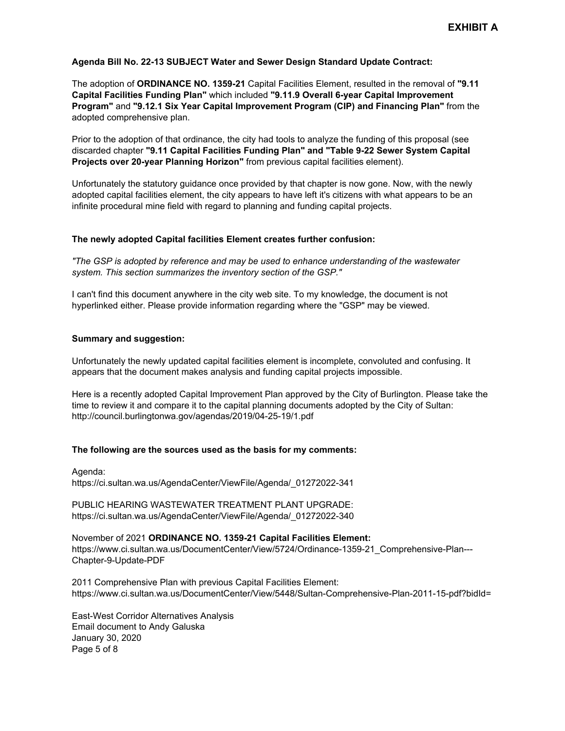### **Agenda Bill No. 22-13 SUBJECT Water and Sewer Design Standard Update Contract:**

The adoption of **ORDINANCE NO. 1359-21** Capital Facilities Element, resulted in the removal of **"9.11 Capital Facilities Funding Plan"** which included **"9.11.9 Overall 6-year Capital Improvement Program"** and **"9.12.1 Six Year Capital Improvement Program (CIP) and Financing Plan"** from the adopted comprehensive plan.

Prior to the adoption of that ordinance, the city had tools to analyze the funding of this proposal (see discarded chapter **"9.11 Capital Facilities Funding Plan" and "Table 9-22 Sewer System Capital Projects over 20-year Planning Horizon"** from previous capital facilities element).

Unfortunately the statutory guidance once provided by that chapter is now gone. Now, with the newly adopted capital facilities element, the city appears to have left it's citizens with what appears to be an infinite procedural mine field with regard to planning and funding capital projects.

### **The newly adopted Capital facilities Element creates further confusion:**

*"The GSP is adopted by reference and may be used to enhance understanding of the wastewater system. This section summarizes the inventory section of the GSP."*

I can't find this document anywhere in the city web site. To my knowledge, the document is not hyperlinked either. Please provide information regarding where the "GSP" may be viewed.

### **Summary and suggestion:**

Unfortunately the newly updated capital facilities element is incomplete, convoluted and confusing. It appears that the document makes analysis and funding capital projects impossible.

Here is a recently adopted Capital Improvement Plan approved by the City of Burlington. Please take the time to review it and compare it to the capital planning documents adopted by the City of Sultan: http://council.burlingtonwa.gov/agendas/2019/04-25-19/1.pdf

### **The following are the sources used as the basis for my comments:**

Agenda: https://ci.sultan.wa.us/AgendaCenter/ViewFile/Agenda/\_01272022-341

PUBLIC HEARING WASTEWATER TREATMENT PLANT UPGRADE: https://ci.sultan.wa.us/AgendaCenter/ViewFile/Agenda/\_01272022-340

November of 2021 **ORDINANCE NO. 1359-21 Capital Facilities Element:** https://www.ci.sultan.wa.us/DocumentCenter/View/5724/Ordinance-1359-21\_Comprehensive-Plan--- Chapter-9-Update-PDF

2011 Comprehensive Plan with previous Capital Facilities Element: https://www.ci.sultan.wa.us/DocumentCenter/View/5448/Sultan-Comprehensive-Plan-2011-15-pdf?bidId=

East-West Corridor Alternatives Analysis Email document to Andy Galuska January 30, 2020 Page 5 of 8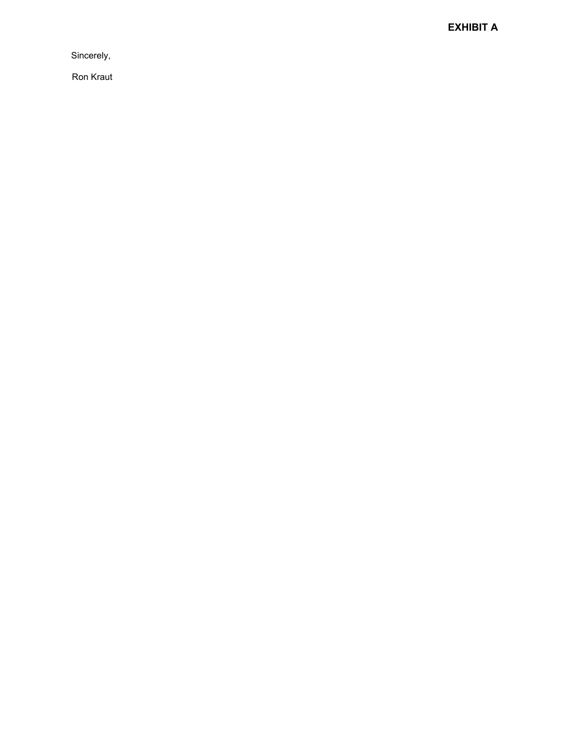**EXHIBIT A**

Sincerely,

Ron Kraut